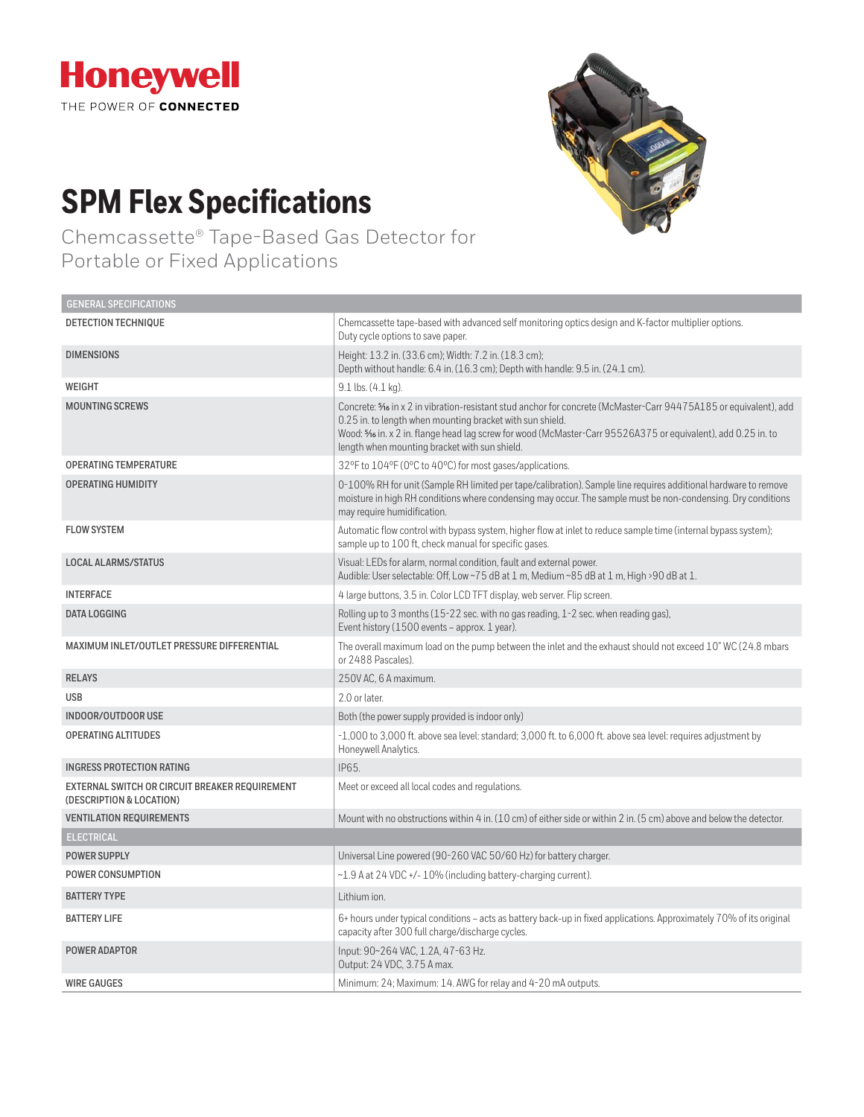

**GENERAL SPECIFICATIONS**

# **SPM Flex Specifications**

Chemcassette® Tape-Based Gas Detector for Portable or Fixed Applications



| <b>ULIVERAL OF LUITIUATIUIVO</b>                                           |                                                                                                                                                                                                                                                                                                                                               |
|----------------------------------------------------------------------------|-----------------------------------------------------------------------------------------------------------------------------------------------------------------------------------------------------------------------------------------------------------------------------------------------------------------------------------------------|
| DETECTION TECHNIQUE                                                        | Chemcassette tape-based with advanced self monitoring optics design and K-factor multiplier options.<br>Duty cycle options to save paper.                                                                                                                                                                                                     |
| <b>DIMENSIONS</b>                                                          | Height: 13.2 in. (33.6 cm); Width: 7.2 in. (18.3 cm);<br>Depth without handle: 6.4 in. (16.3 cm); Depth with handle: 9.5 in. (24.1 cm).                                                                                                                                                                                                       |
| WEIGHT                                                                     | 9.1 lbs. (4.1 kg).                                                                                                                                                                                                                                                                                                                            |
| <b>MOUNTING SCREWS</b>                                                     | Concrete: 5 in x 2 in vibration-resistant stud anchor for concrete (McMaster-Carr 94475A185 or equivalent), add<br>0.25 in. to length when mounting bracket with sun shield.<br>Wood: 5% in. x 2 in. flange head lag screw for wood (McMaster-Carr 95526A375 or equivalent), add 0.25 in. to<br>length when mounting bracket with sun shield. |
| <b>OPERATING TEMPERATURE</b>                                               | 32°F to 104°F (0°C to 40°C) for most gases/applications.                                                                                                                                                                                                                                                                                      |
| <b>OPERATING HUMIDITY</b>                                                  | 0-100% RH for unit (Sample RH limited per tape/calibration). Sample line requires additional hardware to remove<br>moisture in high RH conditions where condensing may occur. The sample must be non-condensing. Dry conditions<br>may require humidification.                                                                                |
| <b>FLOW SYSTEM</b>                                                         | Automatic flow control with bypass system, higher flow at inlet to reduce sample time (internal bypass system);<br>sample up to 100 ft, check manual for specific gases.                                                                                                                                                                      |
| <b>LOCAL ALARMS/STATUS</b>                                                 | Visual: LEDs for alarm, normal condition, fault and external power.<br>Audible: User selectable: Off, Low ~75 dB at 1 m, Medium ~85 dB at 1 m, High >90 dB at 1.                                                                                                                                                                              |
| <b>INTERFACE</b>                                                           | 4 large buttons, 3.5 in. Color LCD TFT display, web server. Flip screen.                                                                                                                                                                                                                                                                      |
| <b>DATA LOGGING</b>                                                        | Rolling up to 3 months (15-22 sec. with no gas reading, 1-2 sec. when reading gas),<br>Event history (1500 events - approx. 1 year).                                                                                                                                                                                                          |
| MAXIMUM INLET/OUTLET PRESSURE DIFFERENTIAL                                 | The overall maximum load on the pump between the inlet and the exhaust should not exceed 10" WC (24.8 mbars<br>or 2488 Pascales).                                                                                                                                                                                                             |
| <b>RELAYS</b>                                                              | 250V AC, 6 A maximum.                                                                                                                                                                                                                                                                                                                         |
| <b>USB</b>                                                                 | 2.0 or later.                                                                                                                                                                                                                                                                                                                                 |
| INDOOR/OUTDOOR USE                                                         | Both (the power supply provided is indoor only)                                                                                                                                                                                                                                                                                               |
| <b>OPERATING ALTITUDES</b>                                                 | -1,000 to 3,000 ft. above sea level: standard; 3,000 ft. to 6,000 ft. above sea level: requires adjustment by<br>Honeywell Analytics.                                                                                                                                                                                                         |
| <b>INGRESS PROTECTION RATING</b>                                           | IP65.                                                                                                                                                                                                                                                                                                                                         |
| EXTERNAL SWITCH OR CIRCUIT BREAKER REQUIREMENT<br>(DESCRIPTION & LOCATION) | Meet or exceed all local codes and regulations.                                                                                                                                                                                                                                                                                               |
| <b>VENTILATION REQUIREMENTS</b>                                            | Mount with no obstructions within 4 in, (10 cm) of either side or within 2 in, (5 cm) above and below the detector.                                                                                                                                                                                                                           |
| <b>ELECTRICAL</b>                                                          |                                                                                                                                                                                                                                                                                                                                               |
| <b>POWER SUPPLY</b>                                                        | Universal Line powered (90-260 VAC 50/60 Hz) for battery charger.                                                                                                                                                                                                                                                                             |
| <b>POWER CONSUMPTION</b>                                                   | ~1.9 A at 24 VDC +/- 10% (including battery-charging current).                                                                                                                                                                                                                                                                                |
| <b>BATTERY TYPE</b>                                                        | Lithium ion.                                                                                                                                                                                                                                                                                                                                  |
| <b>BATTERY LIFE</b>                                                        | 6+ hours under typical conditions – acts as battery back-up in fixed applications. Approximately 70% of its original<br>capacity after 300 full charge/discharge cycles.                                                                                                                                                                      |
| POWER ADAPTOR                                                              | Input: 90~264 VAC, 1.2A, 47-63 Hz.<br>Output: 24 VDC, 3.75 A max.                                                                                                                                                                                                                                                                             |
| <b>WIRE GAUGES</b>                                                         | Minimum: 24; Maximum: 14. AWG for relay and 4-20 mA outputs.                                                                                                                                                                                                                                                                                  |